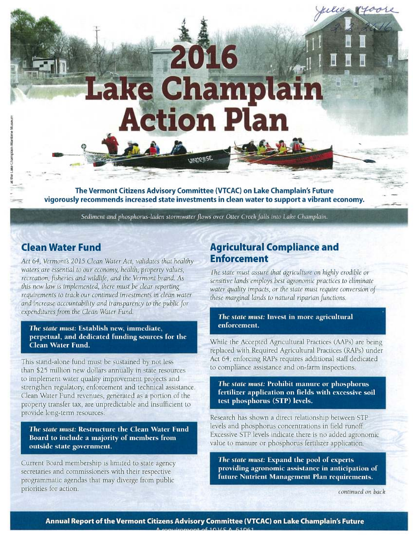# **-<sup>2016</sup>** ake Champlain **Action Plan ,114\_, TALA** NcI2SSE

**The Vermont Citizens Advisory Committee (VTCAC) on Lake Champlain's Future vigorously recommends increased state investments in clean water to support a vibrant economy.** 

*Sediment and phosphorus-laden stormwater flows over Otter Creek falls into Lake Champlain.* 

## **Clean Water Fund**

the Lake Champlain Maritime Museum

the Lake Champlain Maritime Museu

*Act 64, Vermont's 2015 Clean Water Act, validates that healthy waters are essential to* our *economy, health, property values, recreation, fisheries and wildlife, and the Vermont* brand. As *this new law is implemented, there must be clear reporting*  requirements *to track* our *continued investments in clean water and increase accountability and transparency to the public for expenditures from the Clean Water Fund.* 

#### **The** *state* **must: Establish new, immediate, perpetual, and dedicated funding sources for the Clean Water Fund.**

This stand-alone fund must be sustained by not less than \$25 million new dollars annually in state resources to implement water quality improvement projects and strengthen regulatory, enforcement and technical assistance. Clean Water Fund revenues, generated as a portion of the property transfer tax, are unpredictable and insufficient to provide long-term resources.

*The state* **must: Restructure the Clean Water Fund Board to include a majority of members from outside state government.** 

Current Board membership is limited to state agency secretaries and commissioners with their respective programmatic agendas that may diverge from public priorities for action.

## **Agricultural Compliance and Enforcement**

*The state* must assure *that agriculture* on highly *erodible or sensitive lands employs best agronomic practices to eliminate water quality impacts, or the state must require conversion of these marginal lands to natural riparian functions.* 

#### *The state* **must: Invest in more agricultural enforcement.**

While the Accepted Agricultural Practices (AAPs) are being replaced with Required Agricultural Practices (RAPs) under Act 64, enforcing RAPs requires additional staff dedicated to compliance assistance and on-farm inspections.

**The** *state* **must: Prohibit manure or phosphorus fertilizer application on fields with excessive soil test phosphorus (STP) levels.** 

Research has shown a direct relationship between STP levels and phosphorus concentrations in field runoff. Excessive STP levels indicate there is no added agronomic value to manure or phosphorus fertilizer application.

*The state* **must: Expand the pool of experts providing agronomic assistance in anticipation of future Nutrient Management Man requirements.** 

*continued on back* 

*-*